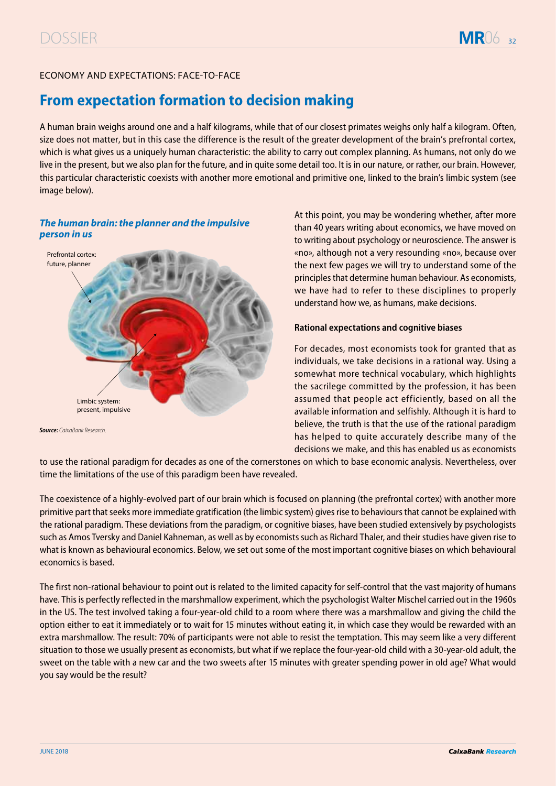# ECONOMY AND EXPECTATIONS: FACE-TO-FACE

# **From expectation formation to decision making**

A human brain weighs around one and a half kilograms, while that of our closest primates weighs only half a kilogram. Often, size does not matter, but in this case the difference is the result of the greater development of the brain's prefrontal cortex, which is what gives us a uniquely human characteristic: the ability to carry out complex planning. As humans, not only do we live in the present, but we also plan for the future, and in quite some detail too. It is in our nature, or rather, our brain. However, this particular characteristic coexists with another more emotional and primitive one, linked to the brain's limbic system (see image below).

## *The human brain: the planner and the impulsive person in us*



At this point, you may be wondering whether, after more than 40 years writing about economics, we have moved on to writing about psychology or neuroscience. The answer is «no», although not a very resounding «no», because over the next few pages we will try to understand some of the principles that determine human behaviour. As economists, we have had to refer to these disciplines to properly understand how we, as humans, make decisions.

### **Rational expectations and cognitive biases**

For decades, most economists took for granted that as individuals, we take decisions in a rational way. Using a somewhat more technical vocabulary, which highlights the sacrilege committed by the profession, it has been assumed that people act efficiently, based on all the available information and selfishly. Although it is hard to believe, the truth is that the use of the rational paradigm has helped to quite accurately describe many of the decisions we make, and this has enabled us as economists

to use the rational paradigm for decades as one of the cornerstones on which to base economic analysis. Nevertheless, over time the limitations of the use of this paradigm been have revealed.

The coexistence of a highly-evolved part of our brain which is focused on planning (the prefrontal cortex) with another more primitive part that seeks more immediate gratification (the limbic system) gives rise to behaviours that cannot be explained with the rational paradigm. These deviations from the paradigm, or cognitive biases, have been studied extensively by psychologists such as Amos Tversky and Daniel Kahneman, as well as by economists such as Richard Thaler, and their studies have given rise to what is known as behavioural economics. Below, we set out some of the most important cognitive biases on which behavioural economics is based.

The first non-rational behaviour to point out is related to the limited capacity for self-control that the vast majority of humans have. This is perfectly reflected in the marshmallow experiment, which the psychologist Walter Mischel carried out in the 1960s in the US. The test involved taking a four-year-old child to a room where there was a marshmallow and giving the child the option either to eat it immediately or to wait for 15 minutes without eating it, in which case they would be rewarded with an extra marshmallow. The result: 70% of participants were not able to resist the temptation. This may seem like a very different situation to those we usually present as economists, but what if we replace the four-year-old child with a 30-year-old adult, the sweet on the table with a new car and the two sweets after 15 minutes with greater spending power in old age? What would you say would be the result?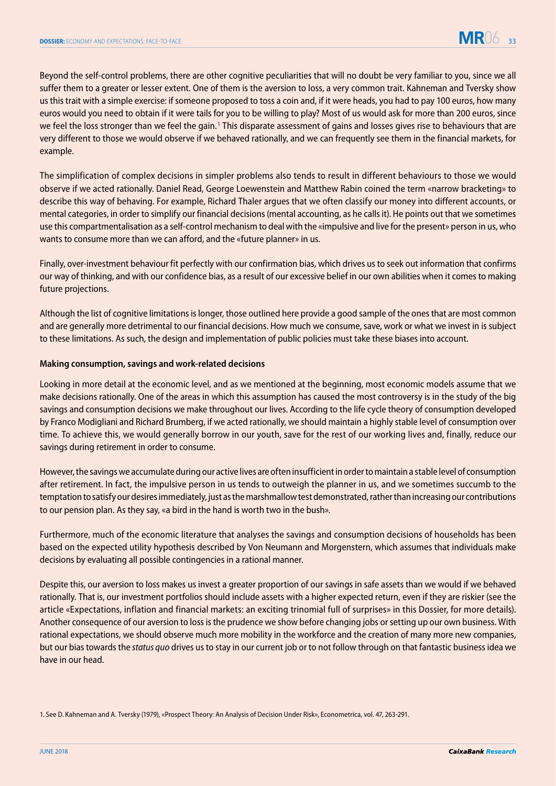Beyond the self-control problems, there are other cognitive peculiarities that will no doubt be very familiar to you, since we all suffer them to a greater or lesser extent. One of them is the aversion to loss, a very common trait. Kahneman and Tversky show us this trait with a simple exercise: if someone proposed to toss a coin and, if it were heads, you had to pay 100 euros, how many euros would you need to obtain if it were tails for you to be willing to play? Most of us would ask for more than 200 euros, since we feel the loss stronger than we feel the gain.<sup>1</sup> This disparate assessment of gains and losses gives rise to behaviours that are very different to those we would observe if we behaved rationally, and we can frequently see them in the financial markets, for example.

The simplification of complex decisions in simpler problems also tends to result in different behaviours to those we would observe if we acted rationally. Daniel Read, George Loewenstein and Matthew Rabin coined the term «narrow bracketing» to describe this way of behaving. For example, Richard Thaler argues that we often classify our money into different accounts, or mental categories, in order to simplify our financial decisions (mental accounting, as he calls it). He points out that we sometimes use this compartmentalisation as a self-control mechanism to deal with the «impulsive and live for the present» person in us, who wants to consume more than we can afford, and the «future planner» in us.

Finally, over-investment behaviour fit perfectly with our confirmation bias, which drives us to seek out information that confirms our way of thinking, and with our confidence bias, as a result of our excessive belief in our own abilities when it comes to making future projections.

Although the list of cognitive limitations is longer, those outlined here provide a good sample of the ones that are most common and are generally more detrimental to our financial decisions. How much we consume, save, work or what we invest in is subject to these limitations. As such, the design and implementation of public policies must take these biases into account.

#### **Making consumption, savings and work-related decisions**

Looking in more detail at the economic level, and as we mentioned at the beginning, most economic models assume that we make decisions rationally. One of the areas in which this assumption has caused the most controversy is in the study of the big savings and consumption decisions we make throughout our lives. According to the life cycle theory of consumption developed by Franco Modigliani and Richard Brumberg, if we acted rationally, we should maintain a highly stable level of consumption over time. To achieve this, we would generally borrow in our youth, save for the rest of our working lives and, finally, reduce our savings during retirement in order to consume.

However, the savings we accumulate during our active lives are often insufficient in order to maintain a stable level of consumption after retirement. In fact, the impulsive person in us tends to outweigh the planner in us, and we sometimes succumb to the temptation to satisfy our desires immediately, just as the marshmallow test demonstrated, rather than increasing our contributions to our pension plan. As they say, «a bird in the hand is worth two in the bush».

Furthermore, much of the economic literature that analyses the savings and consumption decisions of households has been based on the expected utility hypothesis described by Von Neumann and Morgenstern, which assumes that individuals make decisions by evaluating all possible contingencies in a rational manner.

Despite this, our aversion to loss makes us invest a greater proportion of our savings in safe assets than we would if we behaved rationally. That is, our investment portfolios should include assets with a higher expected return, even if they are riskier (see the article «Expectations, inflation and financial markets: an exciting trinomial full of surprises» in this Dossier, for more details). Another consequence of our aversion to loss is the prudence we show before changing jobs or setting up our own business. With rational expectations, we should observe much more mobility in the workforce and the creation of many more new companies, but our bias towards the *status quo* drives us to stay in our current job or to not follow through on that fantastic business idea we have in our head.

1. See D. Kahneman and A. Tversky (1979), «Prospect Theory: An Analysis of Decision Under Risk», Econometrica, vol. 47, 263-291.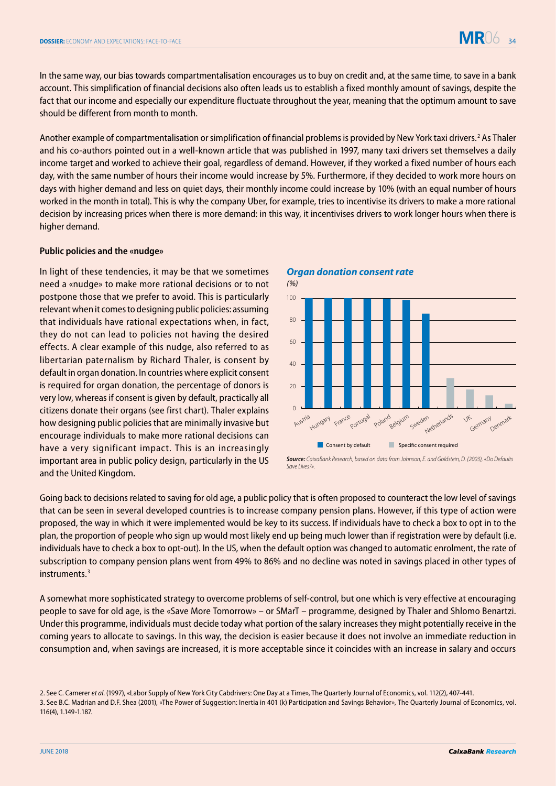In the same way, our bias towards compartmentalisation encourages us to buy on credit and, at the same time, to save in a bank account. This simplification of financial decisions also often leads us to establish a fixed monthly amount of savings, despite the fact that our income and especially our expenditure fluctuate throughout the year, meaning that the optimum amount to save should be different from month to month.

Another example of compartmentalisation or simplification of financial problems is provided by New York taxi drivers.<sup>2</sup> As Thaler and his co-authors pointed out in a well-known article that was published in 1997, many taxi drivers set themselves a daily income target and worked to achieve their goal, regardless of demand. However, if they worked a fixed number of hours each day, with the same number of hours their income would increase by 5%. Furthermore, if they decided to work more hours on days with higher demand and less on quiet days, their monthly income could increase by 10% (with an equal number of hours worked in the month in total). This is why the company Uber, for example, tries to incentivise its drivers to make a more rational decision by increasing prices when there is more demand: in this way, it incentivises drivers to work longer hours when there is higher demand.

#### **Public policies and the «nudge»**

In light of these tendencies, it may be that we sometimes need a «nudge» to make more rational decisions or to not postpone those that we prefer to avoid. This is particularly relevant when it comes to designing public policies: assuming that individuals have rational expectations when, in fact, they do not can lead to policies not having the desired effects. A clear example of this nudge, also referred to as libertarian paternalism by Richard Thaler, is consent by default in organ donation. In countries where explicit consent is required for organ donation, the percentage of donors is very low, whereas if consent is given by default, practically all citizens donate their organs (see first chart). Thaler explains how designing public policies that are minimally invasive but encourage individuals to make more rational decisions can have a very significant impact. This is an increasingly important area in public policy design, particularly in the US and the United Kingdom.

*Organ donation consent rate*



*Source: CaixaBank Research, based on data from Johnson, E. and Goldstein, D. (2003), «Do Defaults SaveLives?».*

Going back to decisions related to saving for old age, a public policy that is often proposed to counteract the low level of savings that can be seen in several developed countries is to increase company pension plans. However, if this type of action were proposed, the way in which it were implemented would be key to its success. If individuals have to check a box to opt in to the plan, the proportion of people who sign up would most likely end up being much lower than if registration were by default (i.e. individuals have to check a box to opt-out). In the US, when the default option was changed to automatic enrolment, the rate of subscription to company pension plans went from 49% to 86% and no decline was noted in savings placed in other types of instruments.3

A somewhat more sophisticated strategy to overcome problems of self-control, but one which is very effective at encouraging people to save for old age, is the «Save More Tomorrow» – or SMarT – programme, designed by Thaler and Shlomo Benartzi. Under this programme, individuals must decide today what portion of the salary increases they might potentially receive in the coming years to allocate to savings. In this way, the decision is easier because it does not involve an immediate reduction in consumption and, when savings are increased, it is more acceptable since it coincides with an increase in salary and occurs

<sup>2.</sup> See C. Camerer *et al.* (1997), «Labor Supply of New York City Cabdrivers: One Day at a Time», The Quarterly Journal of Economics, vol. 112(2), 407-441. 3. See B.C. Madrian and D.F. Shea (2001), «The Power of Suggestion: Inertia in 401 (k) Participation and Savings Behavior», The Quarterly Journal of Economics, vol. 116(4), 1.149-1.187.